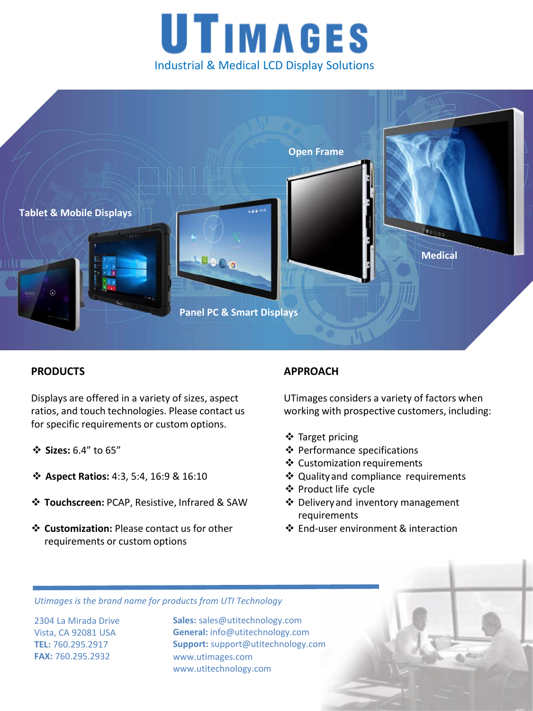



## **PRODUCTS**

Displays are offered in a variety of sizes, aspect ratios, and touch technologies. Please contact us for specific requirements or custom options.

- **Sizes:** 6.4" to 65"
- **Aspect Ratios:** 4:3, 5:4, 16:9 & 16:10
- **Touchscreen:** PCAP, Resistive, Infrared & SAW
- **Customization:** Please contact us for other requirements or custom options

## **APPROACH**

UTimages considers a variety of factors when working with prospective customers, including:

- ❖ Target pricing
- **❖** Performance specifications
- Customization requirements
- ❖ Quality and compliance requirements
- Product life cycle
- Deliveryand inventory management requirements
- ❖ End-user environment & interaction

*Utimages is the brand name for products from UTI Technology* 

2304 La Mirada Drive Vista, CA 92081 USA **TEL:** 760.295.2917 **FAX:** 760.295.2932

**Sales:** sales@utitechnology.com **General:** info@utitechnology.com **Support:** support@utitechnology.com www.utimages.com www.utitechnology.com